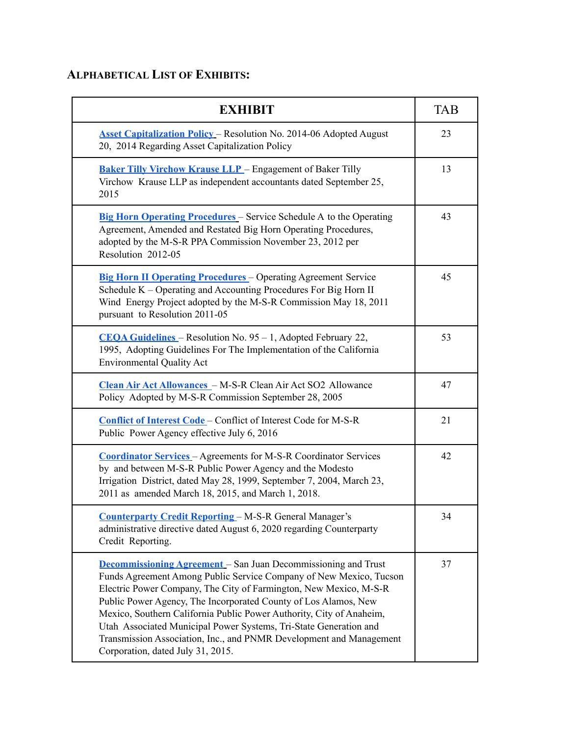## **ALPHABETICAL LIST OF EXHIBITS:**

| <b>EXHIBIT</b>                                                                                                                                                                                                                                                                                                                                                                                                                                                                                                                               | <b>TAB</b> |
|----------------------------------------------------------------------------------------------------------------------------------------------------------------------------------------------------------------------------------------------------------------------------------------------------------------------------------------------------------------------------------------------------------------------------------------------------------------------------------------------------------------------------------------------|------------|
| <b>Asset Capitalization Policy - Resolution No. 2014-06 Adopted August</b><br>20, 2014 Regarding Asset Capitalization Policy                                                                                                                                                                                                                                                                                                                                                                                                                 | 23         |
| <b>Baker Tilly Virchow Krause LLP</b> – Engagement of Baker Tilly<br>Virchow Krause LLP as independent accountants dated September 25,<br>2015                                                                                                                                                                                                                                                                                                                                                                                               | 13         |
| <b>Big Horn Operating Procedures</b> – Service Schedule A to the Operating<br>Agreement, Amended and Restated Big Horn Operating Procedures,<br>adopted by the M-S-R PPA Commission November 23, 2012 per<br>Resolution 2012-05                                                                                                                                                                                                                                                                                                              | 43         |
| <b>Big Horn II Operating Procedures</b> – Operating Agreement Service<br>Schedule K – Operating and Accounting Procedures For Big Horn II<br>Wind Energy Project adopted by the M-S-R Commission May 18, 2011<br>pursuant to Resolution 2011-05                                                                                                                                                                                                                                                                                              | 45         |
| <b>CEQA Guidelines</b> – Resolution No. 95 – 1, Adopted February 22,<br>1995, Adopting Guidelines For The Implementation of the California<br><b>Environmental Quality Act</b>                                                                                                                                                                                                                                                                                                                                                               | 53         |
| Clean Air Act Allowances - M-S-R Clean Air Act SO2 Allowance<br>Policy Adopted by M-S-R Commission September 28, 2005                                                                                                                                                                                                                                                                                                                                                                                                                        | 47         |
| Conflict of Interest Code - Conflict of Interest Code for M-S-R<br>Public Power Agency effective July 6, 2016                                                                                                                                                                                                                                                                                                                                                                                                                                | 21         |
| <b>Coordinator Services - Agreements for M-S-R Coordinator Services</b><br>by and between M-S-R Public Power Agency and the Modesto<br>Irrigation District, dated May 28, 1999, September 7, 2004, March 23,<br>2011 as amended March 18, 2015, and March 1, 2018.                                                                                                                                                                                                                                                                           | 42         |
| <b>Counterparty Credit Reporting - M-S-R General Manager's</b><br>administrative directive dated August 6, 2020 regarding Counterparty<br>Credit Reporting.                                                                                                                                                                                                                                                                                                                                                                                  | 34         |
| <b>Decommissioning Agreement</b> – San Juan Decommissioning and Trust<br>Funds Agreement Among Public Service Company of New Mexico, Tucson<br>Electric Power Company, The City of Farmington, New Mexico, M-S-R<br>Public Power Agency, The Incorporated County of Los Alamos, New<br>Mexico, Southern California Public Power Authority, City of Anaheim,<br>Utah Associated Municipal Power Systems, Tri-State Generation and<br>Transmission Association, Inc., and PNMR Development and Management<br>Corporation, dated July 31, 2015. | 37         |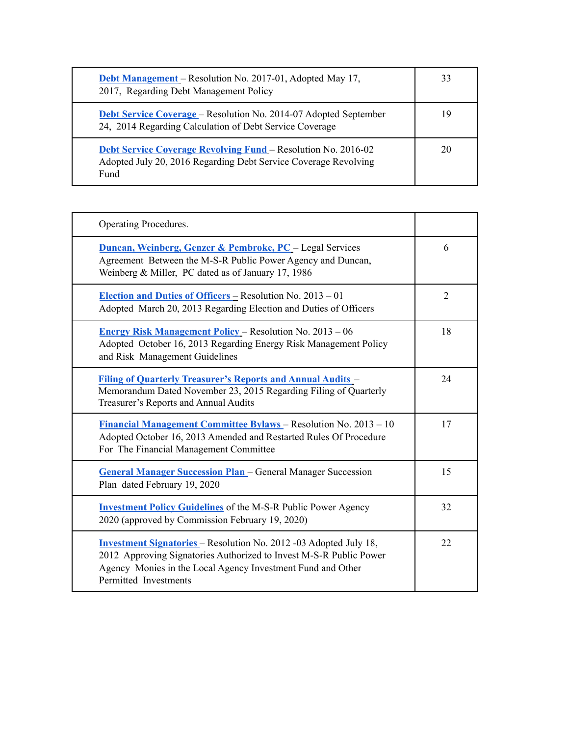| <b>Debt Management</b> – Resolution No. 2017-01, Adopted May 17,<br>2017, Regarding Debt Management Policy                                      | 33 |
|-------------------------------------------------------------------------------------------------------------------------------------------------|----|
| <b>Debt Service Coverage</b> – Resolution No. 2014-07 Adopted September<br>24, 2014 Regarding Calculation of Debt Service Coverage              | 19 |
| <b>Debt Service Coverage Revolving Fund</b> – Resolution No. 2016-02<br>Adopted July 20, 2016 Regarding Debt Service Coverage Revolving<br>Fund | 20 |

| Operating Procedures.                                                                                                                                                                                                                  |                |
|----------------------------------------------------------------------------------------------------------------------------------------------------------------------------------------------------------------------------------------|----------------|
| <b>Duncan, Weinberg, Genzer &amp; Pembroke, PC</b> - Legal Services<br>Agreement Between the M-S-R Public Power Agency and Duncan,<br>Weinberg & Miller, PC dated as of January 17, 1986                                               | 6              |
| <b>Election and Duties of Officers</b> – Resolution No. $2013 - 01$<br>Adopted March 20, 2013 Regarding Election and Duties of Officers                                                                                                | $\overline{2}$ |
| <b>Energy Risk Management Policy – Resolution No. 2013 – 06</b><br>Adopted October 16, 2013 Regarding Energy Risk Management Policy<br>and Risk Management Guidelines                                                                  | 18             |
| <b>Filing of Quarterly Treasurer's Reports and Annual Audits -</b><br>Memorandum Dated November 23, 2015 Regarding Filing of Quarterly<br>Treasurer's Reports and Annual Audits                                                        | 24             |
| <b>Financial Management Committee Bylaws</b> – Resolution No. 2013 – 10<br>Adopted October 16, 2013 Amended and Restarted Rules Of Procedure<br>For The Financial Management Committee                                                 | 17             |
| <b>General Manager Succession Plan</b> – General Manager Succession<br>Plan dated February 19, 2020                                                                                                                                    | 15             |
| <b>Investment Policy Guidelines</b> of the M-S-R Public Power Agency<br>2020 (approved by Commission February 19, 2020)                                                                                                                | 32             |
| <b>Investment Signatories</b> – Resolution No. 2012 -03 Adopted July 18,<br>2012 Approving Signatories Authorized to Invest M-S-R Public Power<br>Agency Monies in the Local Agency Investment Fund and Other<br>Permitted Investments | 22             |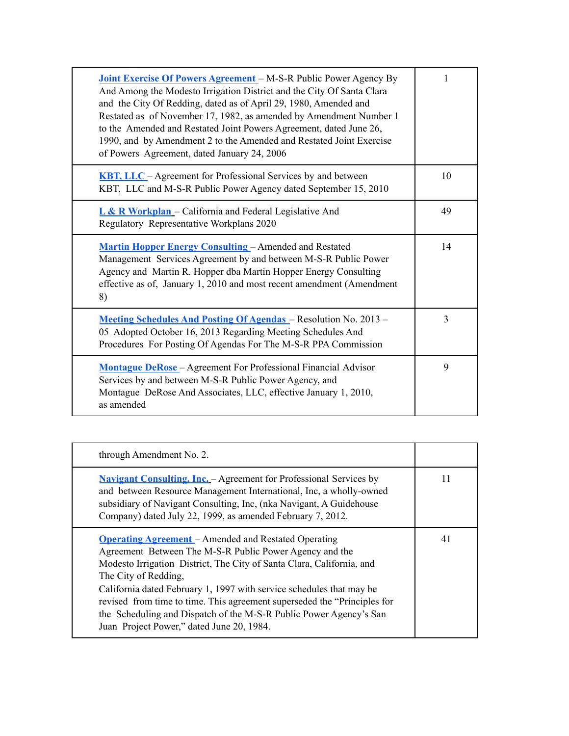| Joint Exercise Of Powers Agreement - M-S-R Public Power Agency By<br>And Among the Modesto Irrigation District and the City Of Santa Clara<br>and the City Of Redding, dated as of April 29, 1980, Amended and<br>Restated as of November 17, 1982, as amended by Amendment Number 1<br>to the Amended and Restated Joint Powers Agreement, dated June 26,<br>1990, and by Amendment 2 to the Amended and Restated Joint Exercise<br>of Powers Agreement, dated January 24, 2006 | 1              |
|----------------------------------------------------------------------------------------------------------------------------------------------------------------------------------------------------------------------------------------------------------------------------------------------------------------------------------------------------------------------------------------------------------------------------------------------------------------------------------|----------------|
| <b>KBT, LLC</b> – Agreement for Professional Services by and between<br>KBT, LLC and M-S-R Public Power Agency dated September 15, 2010                                                                                                                                                                                                                                                                                                                                          | 10             |
| L & R Workplan - California and Federal Legislative And<br>Regulatory Representative Workplans 2020                                                                                                                                                                                                                                                                                                                                                                              | 49             |
| <b>Martin Hopper Energy Consulting - Amended and Restated</b><br>Management Services Agreement by and between M-S-R Public Power<br>Agency and Martin R. Hopper dba Martin Hopper Energy Consulting<br>effective as of, January 1, 2010 and most recent amendment (Amendment<br>8)                                                                                                                                                                                               | 14             |
| Meeting Schedules And Posting Of Agendas - Resolution No. 2013 -<br>05 Adopted October 16, 2013 Regarding Meeting Schedules And<br>Procedures For Posting Of Agendas For The M-S-R PPA Commission                                                                                                                                                                                                                                                                                | $\overline{3}$ |
| <b>Montague DeRose</b> – Agreement For Professional Financial Advisor<br>Services by and between M-S-R Public Power Agency, and<br>Montague DeRose And Associates, LLC, effective January 1, 2010,<br>as amended                                                                                                                                                                                                                                                                 | 9              |

| through Amendment No. 2.                                                                                                                                                                                                                                                                                                                                                                                                                                                                       |    |
|------------------------------------------------------------------------------------------------------------------------------------------------------------------------------------------------------------------------------------------------------------------------------------------------------------------------------------------------------------------------------------------------------------------------------------------------------------------------------------------------|----|
| <b>Navigant Consulting, Inc.</b> – Agreement for Professional Services by<br>and between Resource Management International, Inc. a wholly-owned<br>subsidiary of Navigant Consulting, Inc, (nka Navigant, A Guidehouse<br>Company) dated July 22, 1999, as amended February 7, 2012.                                                                                                                                                                                                           | 11 |
| <b>Operating Agreement</b> – Amended and Restated Operating<br>Agreement Between The M-S-R Public Power Agency and the<br>Modesto Irrigation District, The City of Santa Clara, California, and<br>The City of Redding,<br>California dated February 1, 1997 with service schedules that may be<br>revised from time to time. This agreement superseded the "Principles for<br>the Scheduling and Dispatch of the M-S-R Public Power Agency's San<br>Juan Project Power," dated June 20, 1984. | 41 |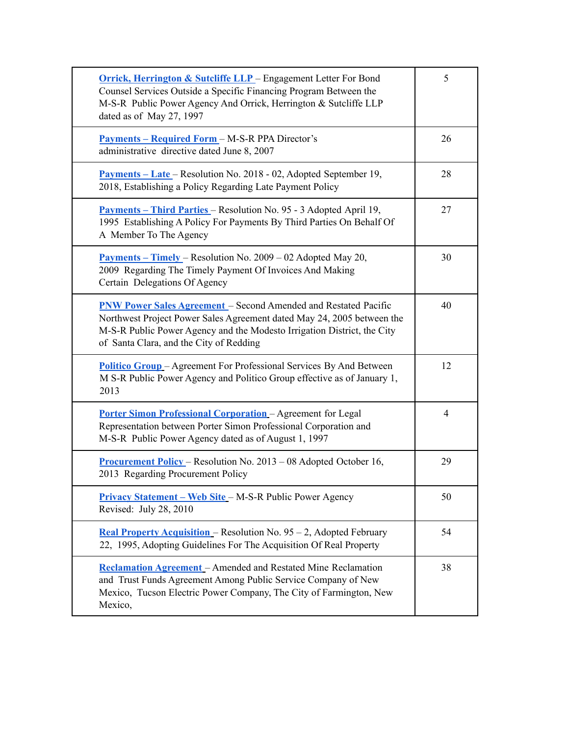| <b>Orrick, Herrington &amp; Sutcliffe LLP</b> – Engagement Letter For Bond<br>Counsel Services Outside a Specific Financing Program Between the<br>M-S-R Public Power Agency And Orrick, Herrington & Sutcliffe LLP<br>dated as of May 27, 1997                        | 5              |
|------------------------------------------------------------------------------------------------------------------------------------------------------------------------------------------------------------------------------------------------------------------------|----------------|
| <u> Payments – Required Form</u> – M-S-R PPA Director's<br>administrative directive dated June 8, 2007                                                                                                                                                                 | 26             |
| <b>Payments – Late – Resolution No. 2018 - 02, Adopted September 19,</b><br>2018, Establishing a Policy Regarding Late Payment Policy                                                                                                                                  | 28             |
| Payments - Third Parties - Resolution No. 95 - 3 Adopted April 19,<br>1995 Establishing A Policy For Payments By Third Parties On Behalf Of<br>A Member To The Agency                                                                                                  | 27             |
| <b>Payments – Timely – Resolution No. 2009 – 02 Adopted May 20,</b><br>2009 Regarding The Timely Payment Of Invoices And Making<br>Certain Delegations Of Agency                                                                                                       | 30             |
| <b>PNW Power Sales Agreement</b> - Second Amended and Restated Pacific<br>Northwest Project Power Sales Agreement dated May 24, 2005 between the<br>M-S-R Public Power Agency and the Modesto Irrigation District, the City<br>of Santa Clara, and the City of Redding | 40             |
| <b>Politico Group</b> – Agreement For Professional Services By And Between<br>M S-R Public Power Agency and Politico Group effective as of January 1,<br>2013                                                                                                          | 12             |
| <b>Porter Simon Professional Corporation</b> - Agreement for Legal<br>Representation between Porter Simon Professional Corporation and<br>M-S-R Public Power Agency dated as of August 1, 1997                                                                         | $\overline{4}$ |
| <b>Procurement Policy</b> – Resolution No. $2013 - 08$ Adopted October 16,<br>2013 Regarding Procurement Policy                                                                                                                                                        | 29             |
| <b>Privacy Statement – Web Site – M-S-R Public Power Agency</b><br>Revised: July 28, 2010                                                                                                                                                                              | 50             |
| Real Property Acquisition - Resolution No. 95 - 2, Adopted February<br>22, 1995, Adopting Guidelines For The Acquisition Of Real Property                                                                                                                              | 54             |
| <b>Reclamation Agreement</b> – Amended and Restated Mine Reclamation<br>and Trust Funds Agreement Among Public Service Company of New<br>Mexico, Tucson Electric Power Company, The City of Farmington, New<br>Mexico,                                                 | 38             |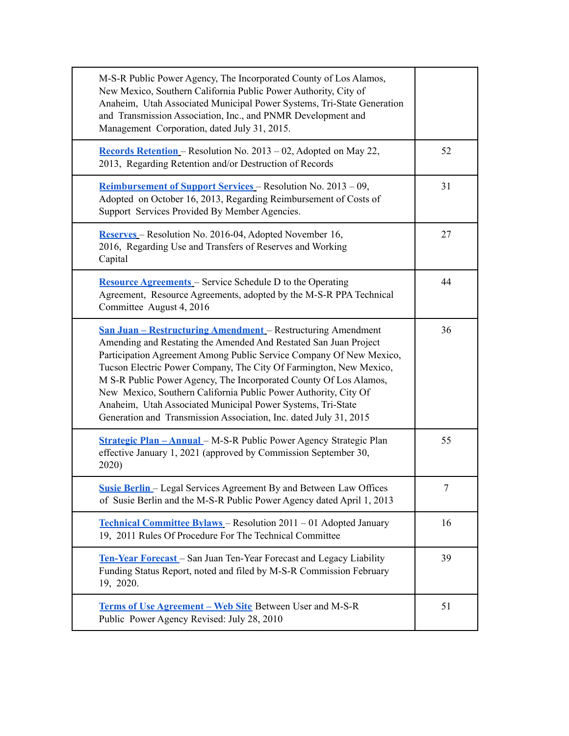| M-S-R Public Power Agency, The Incorporated County of Los Alamos,<br>New Mexico, Southern California Public Power Authority, City of<br>Anaheim, Utah Associated Municipal Power Systems, Tri-State Generation<br>and Transmission Association, Inc., and PNMR Development and<br>Management Corporation, dated July 31, 2015.                                                                                                                                                                                                                                          |    |
|-------------------------------------------------------------------------------------------------------------------------------------------------------------------------------------------------------------------------------------------------------------------------------------------------------------------------------------------------------------------------------------------------------------------------------------------------------------------------------------------------------------------------------------------------------------------------|----|
| <b>Records Retention</b> – Resolution No. $2013 - 02$ , Adopted on May 22,<br>2013, Regarding Retention and/or Destruction of Records                                                                                                                                                                                                                                                                                                                                                                                                                                   | 52 |
| <u>Reimbursement of Support Services</u> – Resolution No. 2013 – 09,<br>Adopted on October 16, 2013, Regarding Reimbursement of Costs of<br>Support Services Provided By Member Agencies.                                                                                                                                                                                                                                                                                                                                                                               | 31 |
| Reserves - Resolution No. 2016-04, Adopted November 16,<br>2016, Regarding Use and Transfers of Reserves and Working<br>Capital                                                                                                                                                                                                                                                                                                                                                                                                                                         | 27 |
| <b>Resource Agreements</b> – Service Schedule D to the Operating<br>Agreement, Resource Agreements, adopted by the M-S-R PPA Technical<br>Committee August 4, 2016                                                                                                                                                                                                                                                                                                                                                                                                      | 44 |
| <b><u>San Juan – Restructuring Amendment</u></b> – Restructuring Amendment<br>Amending and Restating the Amended And Restated San Juan Project<br>Participation Agreement Among Public Service Company Of New Mexico,<br>Tucson Electric Power Company, The City Of Farmington, New Mexico,<br>M S-R Public Power Agency, The Incorporated County Of Los Alamos,<br>New Mexico, Southern California Public Power Authority, City Of<br>Anaheim, Utah Associated Municipal Power Systems, Tri-State<br>Generation and Transmission Association, Inc. dated July 31, 2015 | 36 |
| <b>Strategic Plan - Annual</b> - M-S-R Public Power Agency Strategic Plan<br>effective January 1, 2021 (approved by Commission September 30,<br>2020)                                                                                                                                                                                                                                                                                                                                                                                                                   | 55 |
| <b>Susie Berlin</b> – Legal Services Agreement By and Between Law Offices<br>of Susie Berlin and the M-S-R Public Power Agency dated April 1, 2013                                                                                                                                                                                                                                                                                                                                                                                                                      | 7  |
| Technical Committee Bylaws - Resolution 2011 - 01 Adopted January<br>19, 2011 Rules Of Procedure For The Technical Committee                                                                                                                                                                                                                                                                                                                                                                                                                                            | 16 |
| <b>Ten-Year Forecast</b> – San Juan Ten-Year Forecast and Legacy Liability<br>Funding Status Report, noted and filed by M-S-R Commission February<br>19, 2020.                                                                                                                                                                                                                                                                                                                                                                                                          | 39 |
| <b>Terms of Use Agreement – Web Site Between User and M-S-R</b><br>Public Power Agency Revised: July 28, 2010                                                                                                                                                                                                                                                                                                                                                                                                                                                           | 51 |